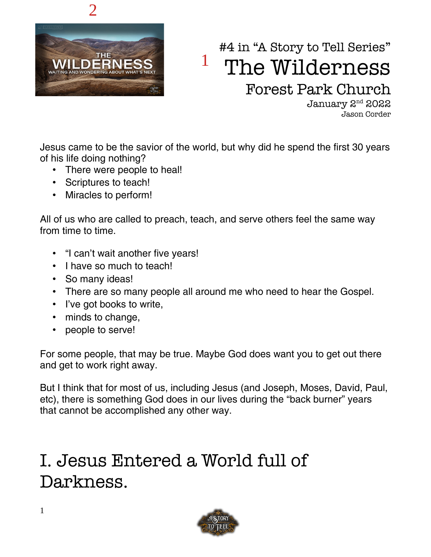

# #4 in "A Story to Tell Series" The Wilderness Forest Park Church 1

January 2nd 2022 Jason Corder

Jesus came to be the savior of the world, but why did he spend the first 30 years of his life doing nothing?

- There were people to heal!
- Scriptures to teach!
- Miracles to perform!

All of us who are called to preach, teach, and serve others feel the same way from time to time.

- "I can't wait another five years!
- I have so much to teach!
- So many ideas!
- There are so many people all around me who need to hear the Gospel.
- I've got books to write,
- minds to change,
- people to serve!

For some people, that may be true. Maybe God does want you to get out there and get to work right away.

But I think that for most of us, including Jesus (and Joseph, Moses, David, Paul, etc), there is something God does in our lives during the "back burner" years that cannot be accomplished any other way.

# I. Jesus Entered a World full of Darkness.

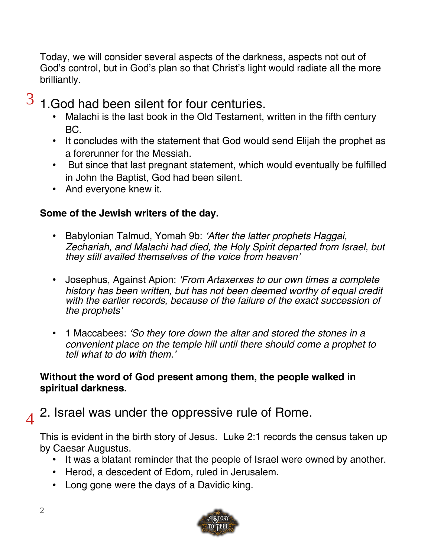Today, we will consider several aspects of the darkness, aspects not out of God's control, but in God's plan so that Christ's light would radiate all the more brilliantly.

#### 1.God had been silent for four centuries. 3

- Malachi is the last book in the Old Testament, written in the fifth century BC.
- It concludes with the statement that God would send Elijah the prophet as a forerunner for the Messiah.
- But since that last pregnant statement, which would eventually be fulfilled in John the Baptist, God had been silent.
- And everyone knew it.

# **Some of the Jewish writers of the day.**

- Babylonian Talmud, Yomah 9b: 'After the latter prophets Haggai, Zechariah, and Malachi had died, the Holy Spirit departed from Israel, but they still availed themselves of the voice from heaven'
- Josephus, Against Apion: 'From Artaxerxes to our own times a complete history has been written, but has not been deemed worthy of equal credit with the earlier records, because of the failure of the exact succession of the prophets'
- 1 Maccabees: 'So they tore down the altar and stored the stones in a convenient place on the temple hill until there should come a prophet to tell what to do with them.'

## **Without the word of God present among them, the people walked in spiritual darkness.**

#### 2. Israel was under the oppressive rule of Rome.  $\boldsymbol{\Lambda}$

This is evident in the birth story of Jesus. Luke 2:1 records the census taken up by Caesar Augustus.

- It was a blatant reminder that the people of Israel were owned by another.
- Herod, a descedent of Edom, ruled in Jerusalem.
- Long gone were the days of a Davidic king.

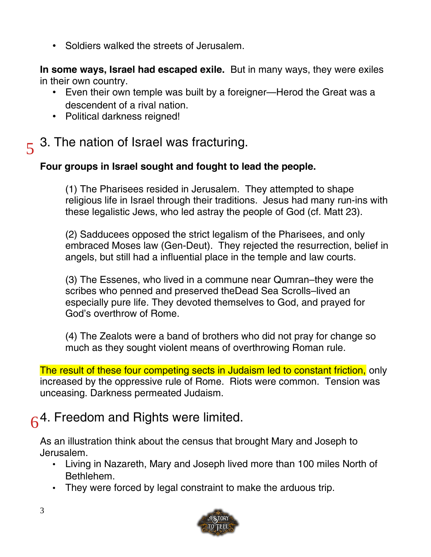• Soldiers walked the streets of Jerusalem.

**In some ways, Israel had escaped exile.** But in many ways, they were exiles in their own country.

- Even their own temple was built by a foreigner—Herod the Great was a descendent of a rival nation.
- Political darkness reigned!

# 5 3. The nation of Israel was fracturing.

# **Four groups in Israel sought and fought to lead the people.**

(1) The Pharisees resided in Jerusalem. They attempted to shape religious life in Israel through their traditions. Jesus had many run-ins with these legalistic Jews, who led astray the people of God (cf. Matt 23).

(2) Sadducees opposed the strict legalism of the Pharisees, and only embraced Moses law (Gen-Deut). They rejected the resurrection, belief in angels, but still had a influential place in the temple and law courts.

(3) The Essenes, who lived in a commune near Qumran–they were the scribes who penned and preserved theDead Sea Scrolls–lived an especially pure life. They devoted themselves to God, and prayed for God's overthrow of Rome.

(4) The Zealots were a band of brothers who did not pray for change so much as they sought violent means of overthrowing Roman rule.

The result of these four competing sects in Judaism led to constant friction, only increased by the oppressive rule of Rome. Riots were common. Tension was unceasing. Darkness permeated Judaism.

# 6<sup>4.</sup> Freedom and Rights were limited.

As an illustration think about the census that brought Mary and Joseph to Jerusalem.

- Living in Nazareth, Mary and Joseph lived more than 100 miles North of Bethlehem.
- They were forced by legal constraint to make the arduous trip.

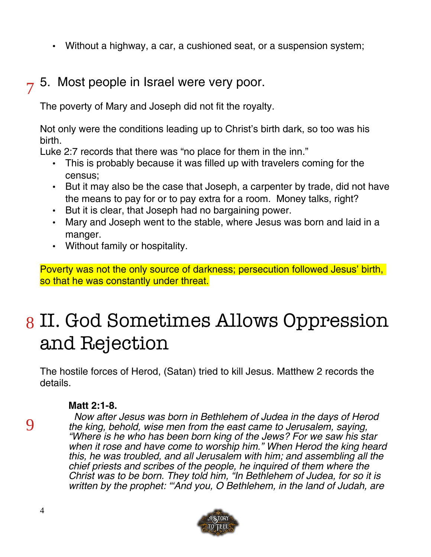• Without a highway, a car, a cushioned seat, or a suspension system;

# 5. Most people in Israel were very poor. 7

The poverty of Mary and Joseph did not fit the royalty.

Not only were the conditions leading up to Christ's birth dark, so too was his birth.

Luke 2:7 records that there was "no place for them in the inn."

- This is probably because it was filled up with travelers coming for the census;
- But it may also be the case that Joseph, a carpenter by trade, did not have the means to pay for or to pay extra for a room. Money talks, right?
- But it is clear, that Joseph had no bargaining power.
- Mary and Joseph went to the stable, where Jesus was born and laid in a manger.
- Without family or hospitality.

Poverty was not the only source of darkness; persecution followed Jesus' birth, so that he was constantly under threat.

# 8 II. God Sometimes Allows Oppression and Rejection

The hostile forces of Herod, (Satan) tried to kill Jesus. Matthew 2 records the details.

### **Matt 2:1-8.**

9

 Now after Jesus was born in Bethlehem of Judea in the days of Herod the king, behold, wise men from the east came to Jerusalem, saying, "Where is he who has been born king of the Jews? For we saw his star when it rose and have come to worship him." When Herod the king heard this, he was troubled, and all Jerusalem with him; and assembling all the chief priests and scribes of the people, he inquired of them where the Christ was to be born. They told him, "In Bethlehem of Judea, for so it is written by the prophet: "And you, O Bethlehem, in the land of Judah, are

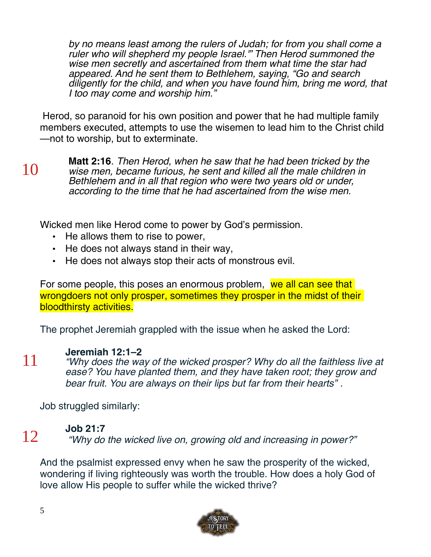by no means least among the rulers of Judah; for from you shall come a ruler who will shepherd my people Israel.'" Then Herod summoned the wise men secretly and ascertained from them what time the star had appeared. And he sent them to Bethlehem, saying, "Go and search diligently for the child, and when you have found him, bring me word, that I too may come and worship him."

 Herod, so paranoid for his own position and power that he had multiple family members executed, attempts to use the wisemen to lead him to the Christ child —not to worship, but to exterminate.

10

**Matt 2:16**. Then Herod, when he saw that he had been tricked by the wise men, became furious, he sent and killed all the male children in Bethlehem and in all that region who were two years old or under, according to the time that he had ascertained from the wise men.

Wicked men like Herod come to power by God's permission.

- He allows them to rise to power,
- He does not always stand in their way,
- He does not always stop their acts of monstrous evil.

For some people, this poses an enormous problem, we all can see that wrongdoers not only prosper, sometimes they prosper in the midst of their bloodthirsty activities.

The prophet Jeremiah grappled with the issue when he asked the Lord:

### **[Jeremiah 12:1–2](https://biblia.com/bible/esv/Jer%2012.1%E2%80%932)**

"Why does the way of the wicked prosper? Why do all the faithless live at ease? You have planted them, and they have taken root; they grow and bear fruit. You are always on their lips but far from their hearts" .

Job struggled similarly:

### **[Job 21:7](https://biblia.com/bible/esv/Job%2021.7)**

12

11

"Why do the wicked live on, growing old and increasing in power?"

And the psalmist expressed envy when he saw the prosperity of the wicked, wondering if living righteously was worth the trouble. How does a holy God of love allow His people to suffer while the wicked thrive?

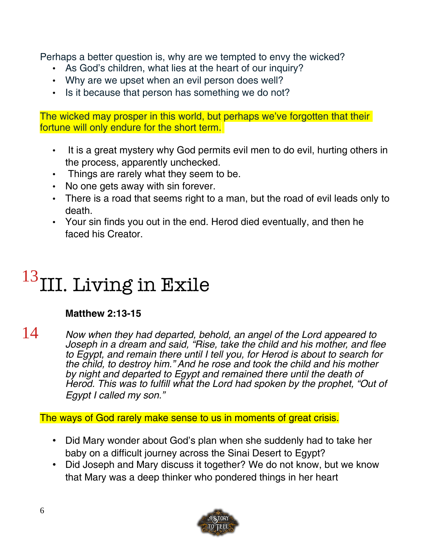Perhaps a better question is, why are we tempted to envy the wicked?

- As God's children, what lies at the heart of our inquiry?
- Why are we upset when an evil person does well?
- Is it because that person has something we do not?

The wicked may prosper in this world, but perhaps we've forgotten that their fortune will only endure for the short term.

- It is a great mystery why God permits evil men to do evil, hurting others in the process, apparently unchecked.
- Things are rarely what they seem to be.
- No one gets away with sin forever.
- There is a road that seems right to a man, but the road of evil leads only to death.
- Your sin finds you out in the end. Herod died eventually, and then he faced his Creator.

# III. Living in Exile 13

# **Matthew 2:13-15**

Now when they had departed, behold, an angel of the Lord appeared to Joseph in a dream and said, "Rise, take the child and his mother, and flee to Egypt, and remain there until I tell you, for Herod is about to search for the child, to destroy him." And he rose and took the child and his mother by night and departed to Egypt and remained there until the death of Herod. This was to fulfill what the Lord had spoken by the prophet, "Out of Egypt I called my son." 14

The ways of God rarely make sense to us in moments of great crisis.

- Did Mary wonder about God's plan when she suddenly had to take her baby on a difficult journey across the Sinai Desert to Egypt?
- Did Joseph and Mary discuss it together? We do not know, but we know that Mary was a deep thinker who pondered things in her heart

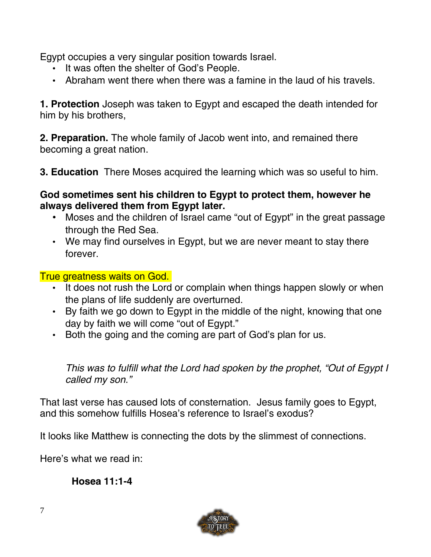Egypt occupies a very singular position towards Israel.

- It was often the shelter of God's People.
- Abraham went there when there was a famine in the laud of his travels.

**1. Protection** Joseph was taken to Egypt and escaped the death intended for him by his brothers,

**2. Preparation.** The whole family of Jacob went into, and remained there becoming a great nation.

**3. Education** There Moses acquired the learning which was so useful to him.

### **God sometimes sent his children to Egypt to protect them, however he always delivered them from Egypt later.**

- Moses and the children of Israel came "out of Egypt" in the great passage through the Red Sea.
- We may find ourselves in Egypt, but we are never meant to stay there forever.

### True greatness waits on God.

- It does not rush the Lord or complain when things happen slowly or when the plans of life suddenly are overturned.
- By faith we go down to Egypt in the middle of the night, knowing that one day by faith we will come "out of Egypt."
- Both the going and the coming are part of God's plan for us.

This was to fulfill what the Lord had spoken by the prophet, "Out of Egypt I called my son."

That last verse has caused lots of consternation. Jesus family goes to Egypt, and this somehow fulfills Hosea's reference to Israel's exodus?

It looks like Matthew is connecting the dots by the slimmest of connections.

Here's what we read in:

# **Hosea 11:1-4**

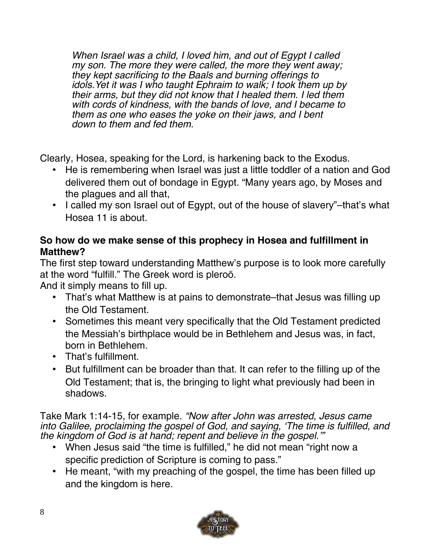When Israel was a child, I loved him, and out of Egypt I called my son. The more they were called, the more they went away; they kept sacrificing to the Baals and burning offerings to idols.Yet it was I who taught Ephraim to walk; I took them up by their arms, but they did not know that I healed them. I led them with cords of kindness, with the bands of love, and I became to them as one who eases the yoke on their jaws, and I bent down to them and fed them.

Clearly, Hosea, speaking for the Lord, is harkening back to the Exodus.

- He is remembering when Israel was just a little toddler of a nation and God delivered them out of bondage in Egypt. "Many years ago, by Moses and the plagues and all that,
- I called my son Israel out of Egypt, out of the house of slavery"–that's what Hosea 11 is about.

## **So how do we make sense of this prophecy in Hosea and fulfillment in Matthew?**

The first step toward understanding Matthew's purpose is to look more carefully at the word "fulfill." The Greek word is pleroō.

And it simply means to fill up.

- That's what Matthew is at pains to demonstrate–that Jesus was filling up the Old Testament.
- Sometimes this meant very specifically that the Old Testament predicted the Messiah's birthplace would be in Bethlehem and Jesus was, in fact, born in Bethlehem.
- That's fulfillment.
- But fulfillment can be broader than that. It can refer to the filling up of the Old Testament; that is, the bringing to light what previously had been in shadows.

Take Mark 1:14-15, for example. "Now after John was arrested, Jesus came into Galilee, proclaiming the gospel of God, and saying, 'The time is fulfilled, and the kingdom of God is at hand; repent and believe in the gospel.'"

- When Jesus said "the time is fulfilled," he did not mean "right now a specific prediction of Scripture is coming to pass."
- He meant, "with my preaching of the gospel, the time has been filled up and the kingdom is here.